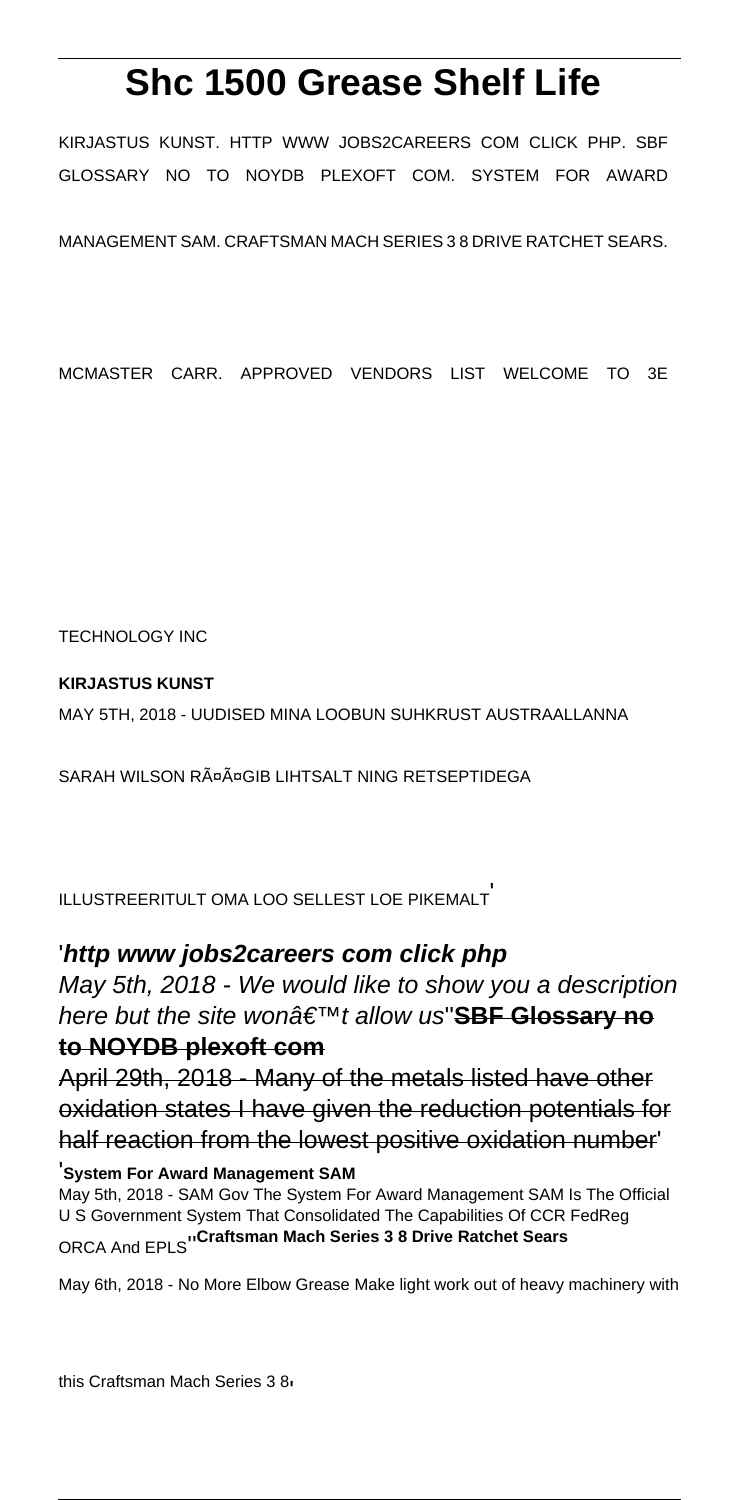# **Shc 1500 Grease Shelf Life**

KIRJASTUS KUNST. HTTP WWW JOBS2CAREERS COM CLICK PHP. SBF GLOSSARY NO TO NOYDB PLEXOFT COM. SYSTEM FOR AWARD

MANAGEMENT SAM. CRAFTSMAN MACH SERIES 3 8 DRIVE RATCHET SEARS.

MCMASTER CARR. APPROVED VENDORS LIST WELCOME TO 3E

TECHNOLOGY INC

## **KIRJASTUS KUNST**

MAY 5TH, 2018 - UUDISED MINA LOOBUN SUHKRUST AUSTRAALLANNA

SARAH WILSON RääGIB LIHTSALT NING RETSEPTIDEGA

ILLUSTREERITULT OMA LOO SELLEST LOE PIKEMALT'

## '**http www jobs2careers com click php**

May 5th, 2018 - We would like to show you a description here but the site wonâ€<sup>™t</sup> allow us'<sup>SBF</sup> Glossary no **to NOYDB plexoft com**

April 29th, 2018 - Many of the metals listed have other oxidation states I have given the reduction potentials for half reaction from the lowest positive oxidation number'

#### '**System For Award Management SAM**

May 5th, 2018 - SAM Gov The System For Award Management SAM Is The Official U S Government System That Consolidated The Capabilities Of CCR FedReg ORCA And EPLS''**Craftsman Mach Series 3 8 Drive Ratchet Sears**

May 6th, 2018 - No More Elbow Grease Make light work out of heavy machinery with